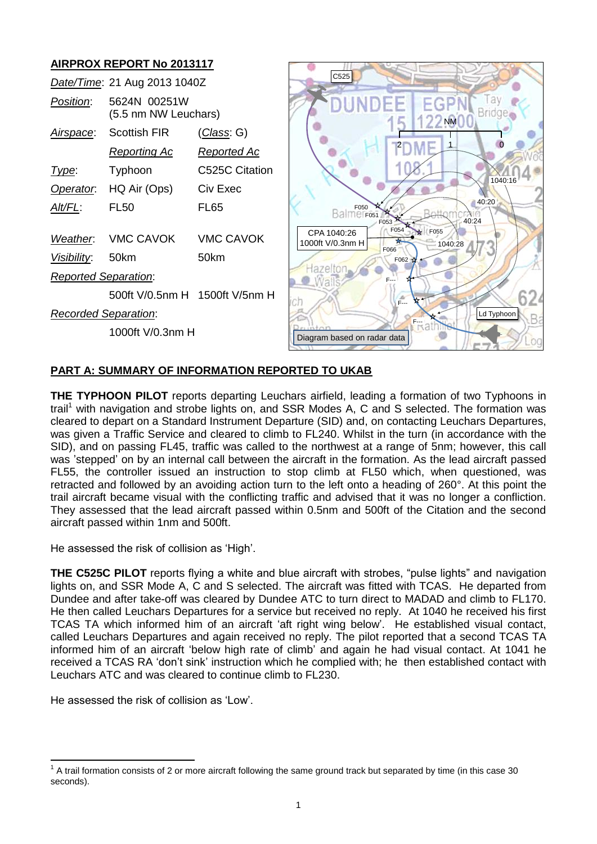

# **PART A: SUMMARY OF INFORMATION REPORTED TO UKAB**

**THE TYPHOON PILOT** reports departing Leuchars airfield, leading a formation of two Typhoons in trail<sup>1</sup> with navigation and strobe lights on, and SSR Modes A, C and S selected. The formation was cleared to depart on a Standard Instrument Departure (SID) and, on contacting Leuchars Departures, was given a Traffic Service and cleared to climb to FL240. Whilst in the turn (in accordance with the SID), and on passing FL45, traffic was called to the northwest at a range of 5nm; however, this call was 'stepped' on by an internal call between the aircraft in the formation. As the lead aircraft passed FL55, the controller issued an instruction to stop climb at FL50 which, when questioned, was retracted and followed by an avoiding action turn to the left onto a heading of 260°. At this point the trail aircraft became visual with the conflicting traffic and advised that it was no longer a confliction. They assessed that the lead aircraft passed within 0.5nm and 500ft of the Citation and the second aircraft passed within 1nm and 500ft.

He assessed the risk of collision as 'High'.

**THE C525C PILOT** reports flying a white and blue aircraft with strobes, "pulse lights" and navigation lights on, and SSR Mode A, C and S selected. The aircraft was fitted with TCAS. He departed from Dundee and after take-off was cleared by Dundee ATC to turn direct to MADAD and climb to FL170. He then called Leuchars Departures for a service but received no reply. At 1040 he received his first TCAS TA which informed him of an aircraft 'aft right wing below'. He established visual contact, called Leuchars Departures and again received no reply. The pilot reported that a second TCAS TA informed him of an aircraft 'below high rate of climb' and again he had visual contact. At 1041 he received a TCAS RA 'don't sink' instruction which he complied with; he then established contact with Leuchars ATC and was cleared to continue climb to FL230.

He assessed the risk of collision as 'Low'.

 $\overline{\phantom{a}}$  $1$  A trail formation consists of 2 or more aircraft following the same ground track but separated by time (in this case 30 seconds).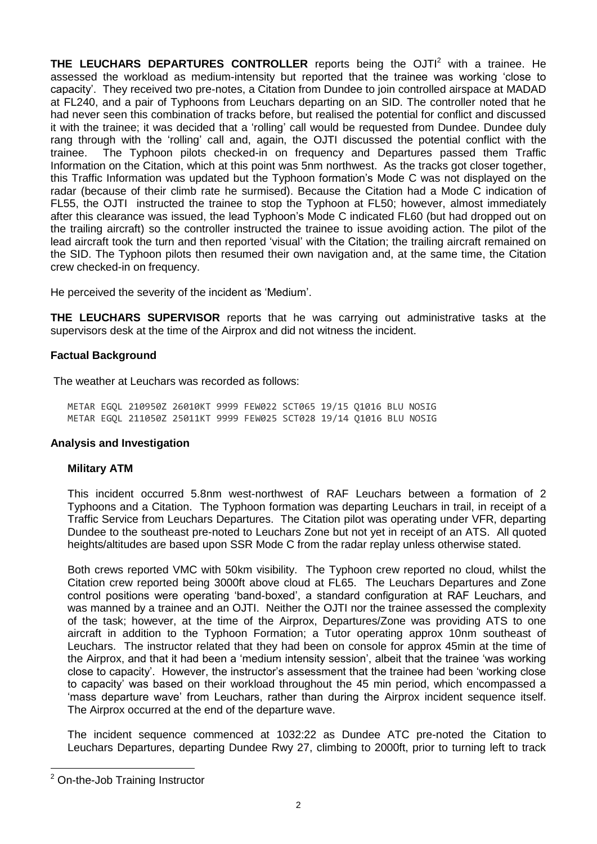**THE LEUCHARS DEPARTURES CONTROLLER** reports being the OJTI<sup>2</sup> with a trainee. He assessed the workload as medium-intensity but reported that the trainee was working 'close to capacity'. They received two pre-notes, a Citation from Dundee to join controlled airspace at MADAD at FL240, and a pair of Typhoons from Leuchars departing on an SID. The controller noted that he had never seen this combination of tracks before, but realised the potential for conflict and discussed it with the trainee; it was decided that a 'rolling' call would be requested from Dundee. Dundee duly rang through with the 'rolling' call and, again, the OJTI discussed the potential conflict with the trainee. The Typhoon pilots checked-in on frequency and Departures passed them Traffic Information on the Citation, which at this point was 5nm northwest. As the tracks got closer together, this Traffic Information was updated but the Typhoon formation's Mode C was not displayed on the radar (because of their climb rate he surmised). Because the Citation had a Mode C indication of FL55, the OJTI instructed the trainee to stop the Typhoon at FL50; however, almost immediately after this clearance was issued, the lead Typhoon's Mode C indicated FL60 (but had dropped out on the trailing aircraft) so the controller instructed the trainee to issue avoiding action. The pilot of the lead aircraft took the turn and then reported 'visual' with the Citation; the trailing aircraft remained on the SID. The Typhoon pilots then resumed their own navigation and, at the same time, the Citation crew checked-in on frequency.

He perceived the severity of the incident as 'Medium'.

**THE LEUCHARS SUPERVISOR** reports that he was carrying out administrative tasks at the supervisors desk at the time of the Airprox and did not witness the incident.

# **Factual Background**

The weather at Leuchars was recorded as follows:

METAR EGQL 210950Z 26010KT 9999 FEW022 SCT065 19/15 Q1016 BLU NOSIG METAR EGQL 211050Z 25011KT 9999 FEW025 SCT028 19/14 Q1016 BLU NOSIG

# **Analysis and Investigation**

# **Military ATM**

This incident occurred 5.8nm west-northwest of RAF Leuchars between a formation of 2 Typhoons and a Citation. The Typhoon formation was departing Leuchars in trail, in receipt of a Traffic Service from Leuchars Departures. The Citation pilot was operating under VFR, departing Dundee to the southeast pre-noted to Leuchars Zone but not yet in receipt of an ATS. All quoted heights/altitudes are based upon SSR Mode C from the radar replay unless otherwise stated.

Both crews reported VMC with 50km visibility. The Typhoon crew reported no cloud, whilst the Citation crew reported being 3000ft above cloud at FL65. The Leuchars Departures and Zone control positions were operating 'band-boxed', a standard configuration at RAF Leuchars, and was manned by a trainee and an OJTI. Neither the OJTI nor the trainee assessed the complexity of the task; however, at the time of the Airprox, Departures/Zone was providing ATS to one aircraft in addition to the Typhoon Formation; a Tutor operating approx 10nm southeast of Leuchars. The instructor related that they had been on console for approx 45min at the time of the Airprox, and that it had been a 'medium intensity session', albeit that the trainee 'was working close to capacity'. However, the instructor's assessment that the trainee had been 'working close to capacity' was based on their workload throughout the 45 min period, which encompassed a 'mass departure wave' from Leuchars, rather than during the Airprox incident sequence itself. The Airprox occurred at the end of the departure wave.

The incident sequence commenced at 1032:22 as Dundee ATC pre-noted the Citation to Leuchars Departures, departing Dundee Rwy 27, climbing to 2000ft, prior to turning left to track

 $\overline{a}$ 

<sup>2</sup> On-the-Job Training Instructor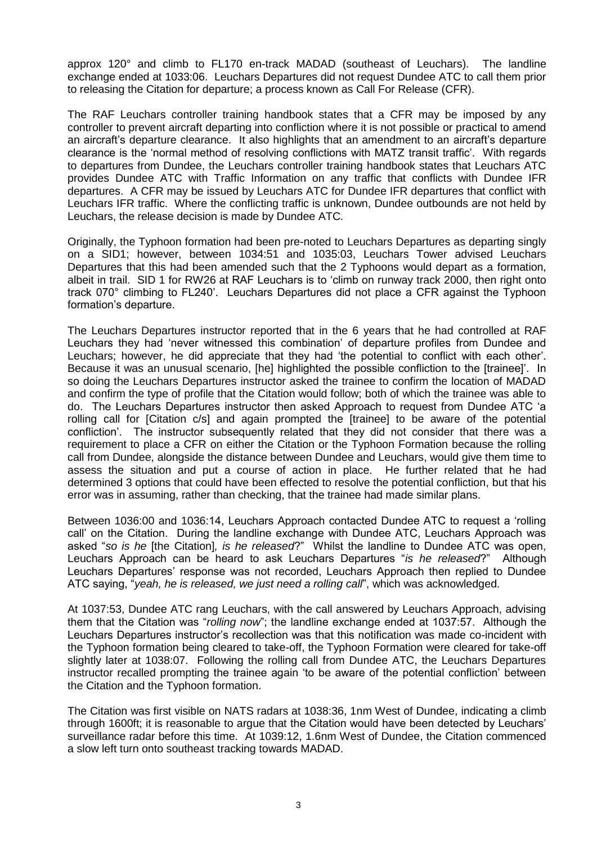approx 120° and climb to FL170 en-track MADAD (southeast of Leuchars). The landline exchange ended at 1033:06. Leuchars Departures did not request Dundee ATC to call them prior to releasing the Citation for departure; a process known as Call For Release (CFR).

The RAF Leuchars controller training handbook states that a CFR may be imposed by any controller to prevent aircraft departing into confliction where it is not possible or practical to amend an aircraft's departure clearance. It also highlights that an amendment to an aircraft's departure clearance is the 'normal method of resolving conflictions with MATZ transit traffic'. With regards to departures from Dundee, the Leuchars controller training handbook states that Leuchars ATC provides Dundee ATC with Traffic Information on any traffic that conflicts with Dundee IFR departures. A CFR may be issued by Leuchars ATC for Dundee IFR departures that conflict with Leuchars IFR traffic. Where the conflicting traffic is unknown, Dundee outbounds are not held by Leuchars, the release decision is made by Dundee ATC.

Originally, the Typhoon formation had been pre-noted to Leuchars Departures as departing singly on a SID1; however, between 1034:51 and 1035:03, Leuchars Tower advised Leuchars Departures that this had been amended such that the 2 Typhoons would depart as a formation, albeit in trail. SID 1 for RW26 at RAF Leuchars is to 'climb on runway track 2000, then right onto track 070° climbing to FL240'. Leuchars Departures did not place a CFR against the Typhoon formation's departure.

The Leuchars Departures instructor reported that in the 6 years that he had controlled at RAF Leuchars they had 'never witnessed this combination' of departure profiles from Dundee and Leuchars; however, he did appreciate that they had 'the potential to conflict with each other'. Because it was an unusual scenario, [he] highlighted the possible confliction to the [trainee]'. In so doing the Leuchars Departures instructor asked the trainee to confirm the location of MADAD and confirm the type of profile that the Citation would follow; both of which the trainee was able to do. The Leuchars Departures instructor then asked Approach to request from Dundee ATC 'a rolling call for [Citation c/s] and again prompted the [trainee] to be aware of the potential confliction'. The instructor subsequently related that they did not consider that there was a requirement to place a CFR on either the Citation or the Typhoon Formation because the rolling call from Dundee, alongside the distance between Dundee and Leuchars, would give them time to assess the situation and put a course of action in place. He further related that he had determined 3 options that could have been effected to resolve the potential confliction, but that his error was in assuming, rather than checking, that the trainee had made similar plans.

Between 1036:00 and 1036:14, Leuchars Approach contacted Dundee ATC to request a 'rolling call' on the Citation. During the landline exchange with Dundee ATC, Leuchars Approach was asked "*so is he* [the Citation]*, is he released*?" Whilst the landline to Dundee ATC was open, Leuchars Approach can be heard to ask Leuchars Departures "*is he released*?" Although Leuchars Departures' response was not recorded, Leuchars Approach then replied to Dundee ATC saying, "*yeah, he is released, we just need a rolling call*", which was acknowledged.

At 1037:53, Dundee ATC rang Leuchars, with the call answered by Leuchars Approach, advising them that the Citation was "*rolling now*"; the landline exchange ended at 1037:57. Although the Leuchars Departures instructor's recollection was that this notification was made co-incident with the Typhoon formation being cleared to take-off, the Typhoon Formation were cleared for take-off slightly later at 1038:07. Following the rolling call from Dundee ATC, the Leuchars Departures instructor recalled prompting the trainee again 'to be aware of the potential confliction' between the Citation and the Typhoon formation.

The Citation was first visible on NATS radars at 1038:36, 1nm West of Dundee, indicating a climb through 1600ft; it is reasonable to argue that the Citation would have been detected by Leuchars' surveillance radar before this time. At 1039:12, 1.6nm West of Dundee, the Citation commenced a slow left turn onto southeast tracking towards MADAD.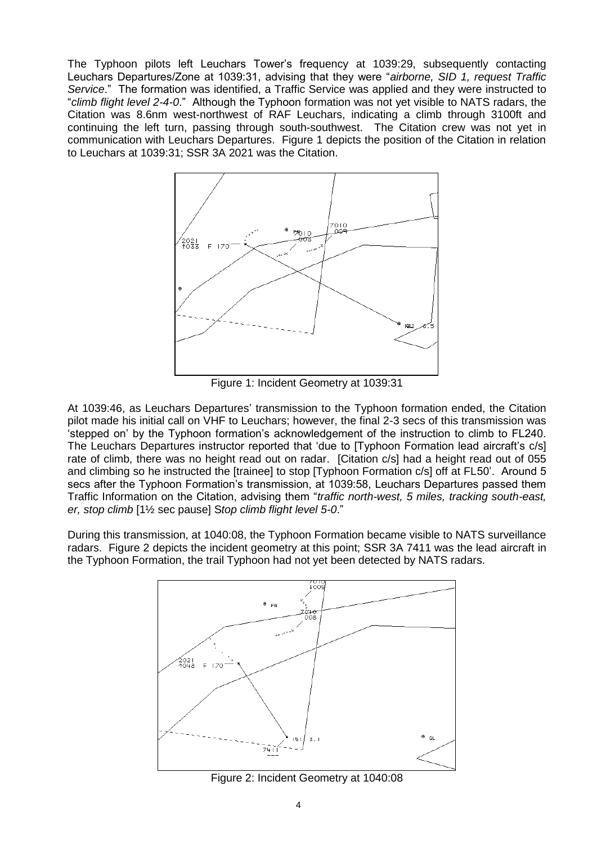The Typhoon pilots left Leuchars Tower's frequency at 1039:29, subsequently contacting Leuchars Departures/Zone at 1039:31, advising that they were "*airborne, SID 1, request Traffic Service*." The formation was identified, a Traffic Service was applied and they were instructed to "*climb flight level 2-4-0*." Although the Typhoon formation was not yet visible to NATS radars, the Citation was 8.6nm west-northwest of RAF Leuchars, indicating a climb through 3100ft and continuing the left turn, passing through south-southwest. The Citation crew was not yet in communication with Leuchars Departures. Figure 1 depicts the position of the Citation in relation to Leuchars at 1039:31; SSR 3A 2021 was the Citation.



Figure 1: Incident Geometry at 1039:31

At 1039:46, as Leuchars Departures' transmission to the Typhoon formation ended, the Citation pilot made his initial call on VHF to Leuchars; however, the final 2-3 secs of this transmission was 'stepped on' by the Typhoon formation's acknowledgement of the instruction to climb to FL240. The Leuchars Departures instructor reported that 'due to [Typhoon Formation lead aircraft's c/s] rate of climb, there was no height read out on radar. [Citation c/s] had a height read out of 055 and climbing so he instructed the [trainee] to stop [Typhoon Formation c/s] off at FL50'. Around 5 secs after the Typhoon Formation's transmission, at 1039:58, Leuchars Departures passed them Traffic Information on the Citation, advising them "*traffic north-west, 5 miles, tracking south-east, er, stop climb* [1½ sec pause] S*top climb flight level 5-0*."

During this transmission, at 1040:08, the Typhoon Formation became visible to NATS surveillance radars. Figure 2 depicts the incident geometry at this point; SSR 3A 7411 was the lead aircraft in the Typhoon Formation, the trail Typhoon had not yet been detected by NATS radars.



Figure 2: Incident Geometry at 1040:08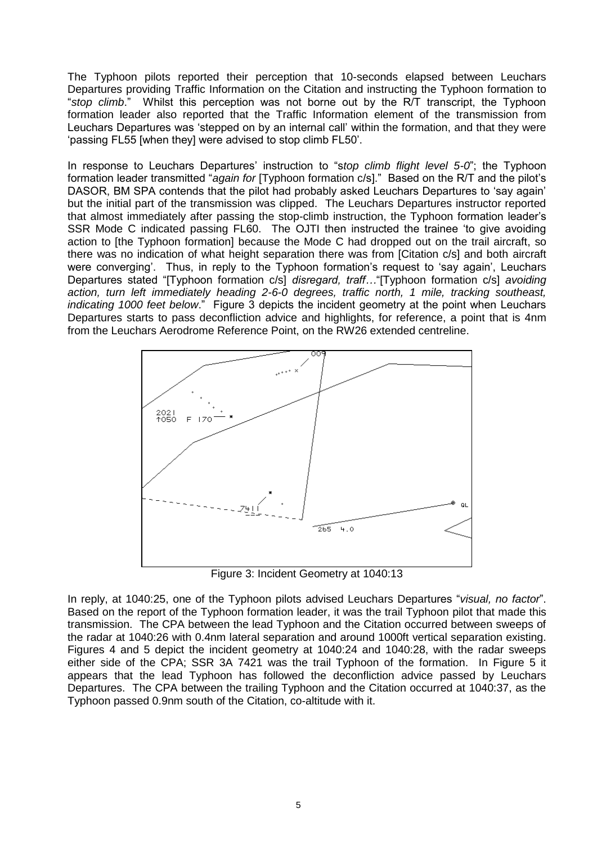The Typhoon pilots reported their perception that 10-seconds elapsed between Leuchars Departures providing Traffic Information on the Citation and instructing the Typhoon formation to "*stop climb*." Whilst this perception was not borne out by the R/T transcript, the Typhoon formation leader also reported that the Traffic Information element of the transmission from Leuchars Departures was 'stepped on by an internal call' within the formation, and that they were 'passing FL55 [when they] were advised to stop climb FL50'.

In response to Leuchars Departures' instruction to "s*top climb flight level 5-0*"; the Typhoon formation leader transmitted "*again for* [Typhoon formation c/s]." Based on the R/T and the pilot's DASOR, BM SPA contends that the pilot had probably asked Leuchars Departures to 'say again' but the initial part of the transmission was clipped. The Leuchars Departures instructor reported that almost immediately after passing the stop-climb instruction, the Typhoon formation leader's SSR Mode C indicated passing FL60. The OJTI then instructed the trainee 'to give avoiding action to [the Typhoon formation] because the Mode C had dropped out on the trail aircraft, so there was no indication of what height separation there was from [Citation c/s] and both aircraft were converging'. Thus, in reply to the Typhoon formation's request to 'say again', Leuchars Departures stated "[Typhoon formation c/s] *disregard, traff…*"[Typhoon formation c/s] *avoiding action, turn left immediately heading 2-6-0 degrees, traffic north, 1 mile, tracking southeast, indicating 1000 feet below*." Figure 3 depicts the incident geometry at the point when Leuchars Departures starts to pass deconfliction advice and highlights, for reference, a point that is 4nm from the Leuchars Aerodrome Reference Point, on the RW26 extended centreline.



Figure 3: Incident Geometry at 1040:13

In reply, at 1040:25, one of the Typhoon pilots advised Leuchars Departures "*visual, no factor*". Based on the report of the Typhoon formation leader, it was the trail Typhoon pilot that made this transmission. The CPA between the lead Typhoon and the Citation occurred between sweeps of the radar at 1040:26 with 0.4nm lateral separation and around 1000ft vertical separation existing. Figures 4 and 5 depict the incident geometry at 1040:24 and 1040:28, with the radar sweeps either side of the CPA; SSR 3A 7421 was the trail Typhoon of the formation. In Figure 5 it appears that the lead Typhoon has followed the deconfliction advice passed by Leuchars Departures. The CPA between the trailing Typhoon and the Citation occurred at 1040:37, as the Typhoon passed 0.9nm south of the Citation, co-altitude with it.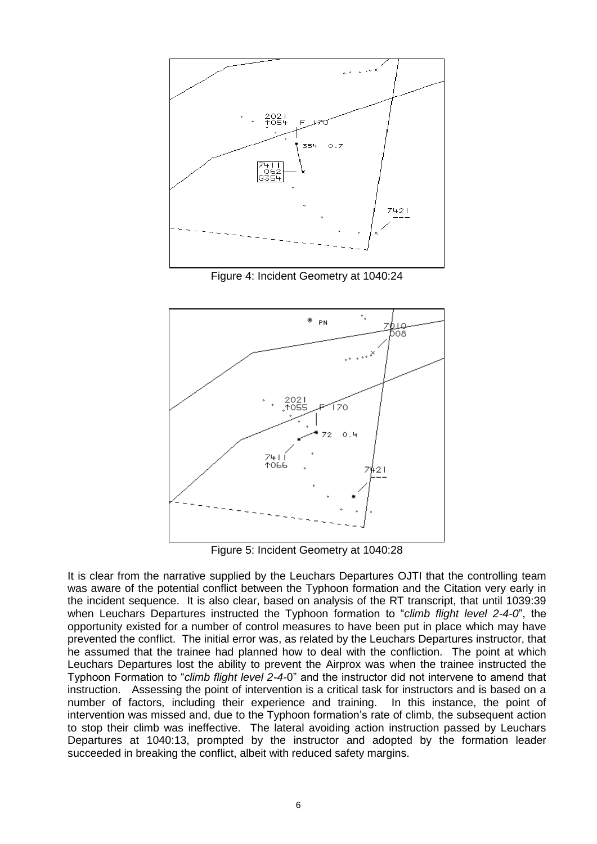

Figure 4: Incident Geometry at 1040:24



Figure 5: Incident Geometry at 1040:28

It is clear from the narrative supplied by the Leuchars Departures OJTI that the controlling team was aware of the potential conflict between the Typhoon formation and the Citation very early in the incident sequence. It is also clear, based on analysis of the RT transcript, that until 1039:39 when Leuchars Departures instructed the Typhoon formation to "*climb flight level 2-4-0*", the opportunity existed for a number of control measures to have been put in place which may have prevented the conflict. The initial error was, as related by the Leuchars Departures instructor, that he assumed that the trainee had planned how to deal with the confliction. The point at which Leuchars Departures lost the ability to prevent the Airprox was when the trainee instructed the Typhoon Formation to "*climb flight level 2-4-*0" and the instructor did not intervene to amend that instruction. Assessing the point of intervention is a critical task for instructors and is based on a number of factors, including their experience and training. In this instance, the point of intervention was missed and, due to the Typhoon formation's rate of climb, the subsequent action to stop their climb was ineffective. The lateral avoiding action instruction passed by Leuchars Departures at 1040:13, prompted by the instructor and adopted by the formation leader succeeded in breaking the conflict, albeit with reduced safety margins.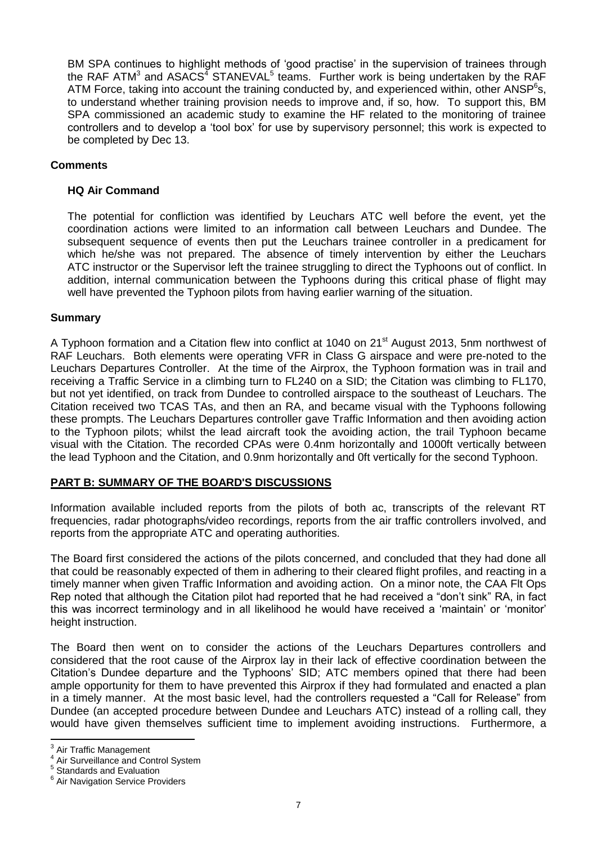BM SPA continues to highlight methods of 'good practise' in the supervision of trainees through the RAF ATM<sup>3</sup> and ASACS<sup>4</sup> STANEVAL<sup>5</sup> teams. Further work is being undertaken by the RAF ATM Force, taking into account the training conducted by, and experienced within, other ANSP<sup>6</sup>s, to understand whether training provision needs to improve and, if so, how. To support this, BM SPA commissioned an academic study to examine the HF related to the monitoring of trainee controllers and to develop a 'tool box' for use by supervisory personnel; this work is expected to be completed by Dec 13.

# **Comments**

# **HQ Air Command**

The potential for confliction was identified by Leuchars ATC well before the event, yet the coordination actions were limited to an information call between Leuchars and Dundee. The subsequent sequence of events then put the Leuchars trainee controller in a predicament for which he/she was not prepared. The absence of timely intervention by either the Leuchars ATC instructor or the Supervisor left the trainee struggling to direct the Typhoons out of conflict. In addition, internal communication between the Typhoons during this critical phase of flight may well have prevented the Typhoon pilots from having earlier warning of the situation.

### **Summary**

A Typhoon formation and a Citation flew into conflict at 1040 on 21<sup>st</sup> August 2013, 5nm northwest of RAF Leuchars. Both elements were operating VFR in Class G airspace and were pre-noted to the Leuchars Departures Controller. At the time of the Airprox, the Typhoon formation was in trail and receiving a Traffic Service in a climbing turn to FL240 on a SID; the Citation was climbing to FL170, but not yet identified, on track from Dundee to controlled airspace to the southeast of Leuchars. The Citation received two TCAS TAs, and then an RA, and became visual with the Typhoons following these prompts. The Leuchars Departures controller gave Traffic Information and then avoiding action to the Typhoon pilots; whilst the lead aircraft took the avoiding action, the trail Typhoon became visual with the Citation. The recorded CPAs were 0.4nm horizontally and 1000ft vertically between the lead Typhoon and the Citation, and 0.9nm horizontally and 0ft vertically for the second Typhoon.

# **PART B: SUMMARY OF THE BOARD'S DISCUSSIONS**

Information available included reports from the pilots of both ac, transcripts of the relevant RT frequencies, radar photographs/video recordings, reports from the air traffic controllers involved, and reports from the appropriate ATC and operating authorities.

The Board first considered the actions of the pilots concerned, and concluded that they had done all that could be reasonably expected of them in adhering to their cleared flight profiles, and reacting in a timely manner when given Traffic Information and avoiding action. On a minor note, the CAA Flt Ops Rep noted that although the Citation pilot had reported that he had received a "don't sink" RA, in fact this was incorrect terminology and in all likelihood he would have received a 'maintain' or 'monitor' height instruction.

The Board then went on to consider the actions of the Leuchars Departures controllers and considered that the root cause of the Airprox lay in their lack of effective coordination between the Citation's Dundee departure and the Typhoons' SID; ATC members opined that there had been ample opportunity for them to have prevented this Airprox if they had formulated and enacted a plan in a timely manner. At the most basic level, had the controllers requested a "Call for Release" from Dundee (an accepted procedure between Dundee and Leuchars ATC) instead of a rolling call, they would have given themselves sufficient time to implement avoiding instructions. Furthermore, a

<sup>&</sup>lt;u>a</u><br><sup>3</sup> Air Traffic Management<br><sup>4</sup> Air Sunreillense and Co

Air Surveillance and Control System

<sup>5</sup> Standards and Evaluation

<sup>&</sup>lt;sup>6</sup> Air Navigation Service Providers